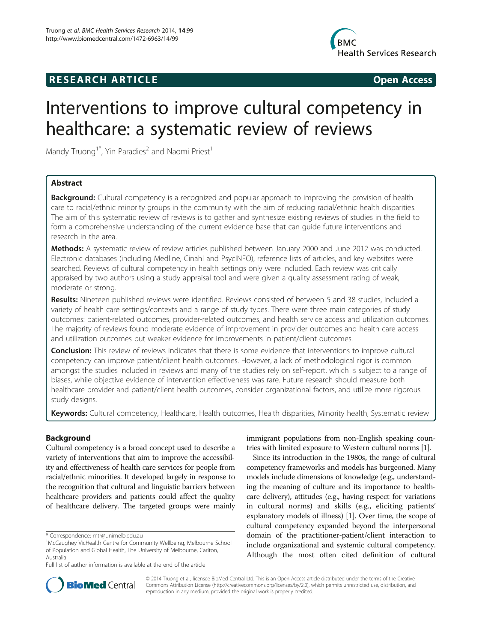## **RESEARCH ARTICLE Example 2014 CONSIDERING CONSIDERING CONSIDERING CONSIDERING CONSIDERING CONSIDERING CONSIDERING CONSIDERING CONSIDERING CONSIDERING CONSIDERING CONSIDERING CONSIDERING CONSIDERING CONSIDERING CONSIDE**



## Interventions to improve cultural competency in healthcare: a systematic review of reviews

Mandy Truong<sup>1\*</sup>, Yin Paradies<sup>2</sup> and Naomi Priest<sup>1</sup>

## Abstract

**Background:** Cultural competency is a recognized and popular approach to improving the provision of health care to racial/ethnic minority groups in the community with the aim of reducing racial/ethnic health disparities. The aim of this systematic review of reviews is to gather and synthesize existing reviews of studies in the field to form a comprehensive understanding of the current evidence base that can guide future interventions and research in the area.

Methods: A systematic review of review articles published between January 2000 and June 2012 was conducted. Electronic databases (including Medline, Cinahl and PsycINFO), reference lists of articles, and key websites were searched. Reviews of cultural competency in health settings only were included. Each review was critically appraised by two authors using a study appraisal tool and were given a quality assessment rating of weak, moderate or strong.

Results: Nineteen published reviews were identified. Reviews consisted of between 5 and 38 studies, included a variety of health care settings/contexts and a range of study types. There were three main categories of study outcomes: patient-related outcomes, provider-related outcomes, and health service access and utilization outcomes. The majority of reviews found moderate evidence of improvement in provider outcomes and health care access and utilization outcomes but weaker evidence for improvements in patient/client outcomes.

Conclusion: This review of reviews indicates that there is some evidence that interventions to improve cultural competency can improve patient/client health outcomes. However, a lack of methodological rigor is common amongst the studies included in reviews and many of the studies rely on self-report, which is subject to a range of biases, while objective evidence of intervention effectiveness was rare. Future research should measure both healthcare provider and patient/client health outcomes, consider organizational factors, and utilize more rigorous study designs.

Keywords: Cultural competency, Healthcare, Health outcomes, Health disparities, Minority health, Systematic review

## Background

Cultural competency is a broad concept used to describe a variety of interventions that aim to improve the accessibility and effectiveness of health care services for people from racial/ethnic minorities. It developed largely in response to the recognition that cultural and linguistic barriers between healthcare providers and patients could affect the quality of healthcare delivery. The targeted groups were mainly

immigrant populations from non-English speaking countries with limited exposure to Western cultural norms [\[1](#page-15-0)].

Since its introduction in the 1980s, the range of cultural competency frameworks and models has burgeoned. Many models include dimensions of knowledge (e.g., understanding the meaning of culture and its importance to healthcare delivery), attitudes (e.g., having respect for variations in cultural norms) and skills (e.g., eliciting patients' explanatory models of illness) [[1](#page-15-0)]. Over time, the scope of cultural competency expanded beyond the interpersonal domain of the practitioner-patient/client interaction to include organizational and systemic cultural competency. Although the most often cited definition of cultural



© 2014 Truong et al.; licensee BioMed Central Ltd. This is an Open Access article distributed under the terms of the Creative Commons Attribution License [\(http://creativecommons.org/licenses/by/2.0\)](http://creativecommons.org/licenses/by/2.0), which permits unrestricted use, distribution, and reproduction in any medium, provided the original work is properly credited.

<sup>\*</sup> Correspondence: [mtr@unimelb.edu.au](mailto:mtr@unimelb.edu.au) <sup>1</sup>

McCaughey VicHealth Centre for Community Wellbeing, Melbourne School of Population and Global Health, The University of Melbourne, Carlton, Australia

Full list of author information is available at the end of the article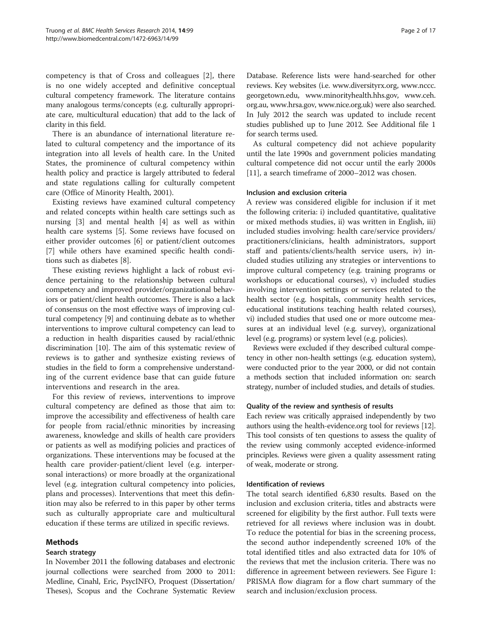competency is that of Cross and colleagues [\[2](#page-15-0)], there is no one widely accepted and definitive conceptual cultural competency framework. The literature contains many analogous terms/concepts (e.g. culturally appropriate care, multicultural education) that add to the lack of clarity in this field.

There is an abundance of international literature related to cultural competency and the importance of its integration into all levels of health care. In the United States, the prominence of cultural competency within health policy and practice is largely attributed to federal and state regulations calling for culturally competent care (Office of Minority Health, 2001).

Existing reviews have examined cultural competency and related concepts within health care settings such as nursing [[3\]](#page-15-0) and mental health [[4\]](#page-15-0) as well as within health care systems [\[5\]](#page-15-0). Some reviews have focused on either provider outcomes [\[6](#page-15-0)] or patient/client outcomes [[7\]](#page-15-0) while others have examined specific health conditions such as diabetes [[8\]](#page-15-0).

These existing reviews highlight a lack of robust evidence pertaining to the relationship between cultural competency and improved provider/organizational behaviors or patient/client health outcomes. There is also a lack of consensus on the most effective ways of improving cultural competency [\[9](#page-15-0)] and continuing debate as to whether interventions to improve cultural competency can lead to a reduction in health disparities caused by racial/ethnic discrimination [\[10\]](#page-15-0). The aim of this systematic review of reviews is to gather and synthesize existing reviews of studies in the field to form a comprehensive understanding of the current evidence base that can guide future interventions and research in the area.

For this review of reviews, interventions to improve cultural competency are defined as those that aim to: improve the accessibility and effectiveness of health care for people from racial/ethnic minorities by increasing awareness, knowledge and skills of health care providers or patients as well as modifying policies and practices of organizations. These interventions may be focused at the health care provider-patient/client level (e.g. interpersonal interactions) or more broadly at the organizational level (e.g. integration cultural competency into policies, plans and processes). Interventions that meet this definition may also be referred to in this paper by other terms such as culturally appropriate care and multicultural education if these terms are utilized in specific reviews.

#### Methods

#### Search strategy

In November 2011 the following databases and electronic journal collections were searched from 2000 to 2011: Medline, Cinahl, Eric, PsycINFO, Proquest (Dissertation/ Theses), Scopus and the Cochrane Systematic Review Database. Reference lists were hand-searched for other reviews. Key websites (i.e. [www.diversityrx.org,](http://www.diversityrx.org/) [www.nccc.](http://www.nccc.georgetown.edu) [georgetown.edu](http://www.nccc.georgetown.edu), [www.minorityhealth.hhs.gov,](http://www.minorityhealth.hhs.gov) [www.ceh.](http://www.ceh.org.au) [org.au,](http://www.ceh.org.au) [www.hrsa.gov,](http://www.hrsa.gov) [www.nice.org.uk](http://www.nice.org.uk)) were also searched. In July 2012 the search was updated to include recent studies published up to June 2012. See Additional file [1](#page-15-0) for search terms used.

As cultural competency did not achieve popularity until the late 1990s and government policies mandating cultural competence did not occur until the early 2000s [[11\]](#page-15-0), a search timeframe of 2000–2012 was chosen.

#### Inclusion and exclusion criteria

A review was considered eligible for inclusion if it met the following criteria: i) included quantitative, qualitative or mixed methods studies, ii) was written in English, iii) included studies involving: health care/service providers/ practitioners/clinicians, health administrators, support staff and patients/clients/health service users, iv) included studies utilizing any strategies or interventions to improve cultural competency (e.g. training programs or workshops or educational courses), v) included studies involving intervention settings or services related to the health sector (e.g. hospitals, community health services, educational institutions teaching health related courses), vi) included studies that used one or more outcome measures at an individual level (e.g. survey), organizational level (e.g. programs) or system level (e.g. policies).

Reviews were excluded if they described cultural competency in other non-health settings (e.g. education system), were conducted prior to the year 2000, or did not contain a methods section that included information on: search strategy, number of included studies, and details of studies.

#### Quality of the review and synthesis of results

Each review was critically appraised independently by two authors using the health-evidence.org tool for reviews [\[12](#page-15-0)]. This tool consists of ten questions to assess the quality of the review using commonly accepted evidence-informed principles. Reviews were given a quality assessment rating of weak, moderate or strong.

#### Identification of reviews

The total search identified 6,830 results. Based on the inclusion and exclusion criteria, titles and abstracts were screened for eligibility by the first author. Full texts were retrieved for all reviews where inclusion was in doubt. To reduce the potential for bias in the screening process, the second author independently screened 10% of the total identified titles and also extracted data for 10% of the reviews that met the inclusion criteria. There was no difference in agreement between reviewers. See Figure [1](#page-2-0): PRISMA flow diagram for a flow chart summary of the search and inclusion/exclusion process.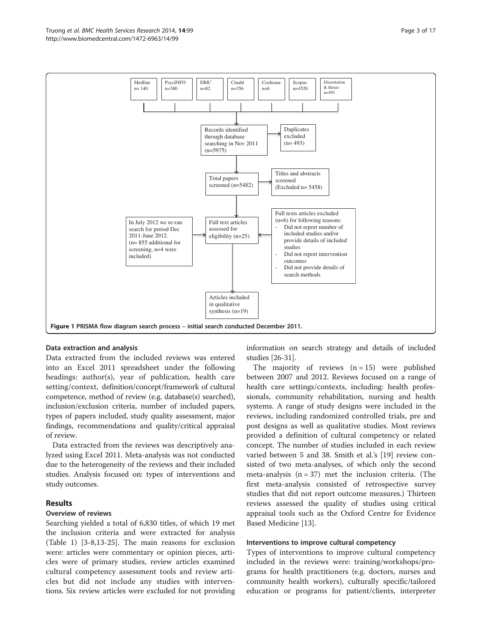<span id="page-2-0"></span>

#### Data extraction and analysis

Data extracted from the included reviews was entered into an Excel 2011 spreadsheet under the following headings: author(s), year of publication, health care setting/context, definition/concept/framework of cultural competence, method of review (e.g. database(s) searched), inclusion/exclusion criteria, number of included papers, types of papers included, study quality assessment, major findings, recommendations and quality/critical appraisal of review.

Data extracted from the reviews was descriptively analyzed using Excel 2011. Meta-analysis was not conducted due to the heterogeneity of the reviews and their included studies. Analysis focused on: types of interventions and study outcomes.

#### Results

#### Overview of reviews

Searching yielded a total of 6,830 titles, of which 19 met the inclusion criteria and were extracted for analysis (Table [1](#page-3-0)) [[3-8,13-25](#page-15-0)]. The main reasons for exclusion were: articles were commentary or opinion pieces, articles were of primary studies, review articles examined cultural competency assessment tools and review articles but did not include any studies with interventions. Six review articles were excluded for not providing information on search strategy and details of included studies [\[26-31\]](#page-15-0).

The majority of reviews  $(n = 15)$  were published between 2007 and 2012. Reviews focused on a range of health care settings/contexts, including: health professionals, community rehabilitation, nursing and health systems. A range of study designs were included in the reviews, including randomized controlled trials, pre and post designs as well as qualitative studies. Most reviews provided a definition of cultural competency or related concept. The number of studies included in each review varied between 5 and 38. Smith et al.'s [\[19](#page-15-0)] review consisted of two meta-analyses, of which only the second meta-analysis  $(n = 37)$  met the inclusion criteria. (The first meta-analysis consisted of retrospective survey studies that did not report outcome measures.) Thirteen reviews assessed the quality of studies using critical appraisal tools such as the Oxford Centre for Evidence Based Medicine [[13](#page-15-0)].

#### Interventions to improve cultural competency

Types of interventions to improve cultural competency included in the reviews were: training/workshops/programs for health practitioners (e.g. doctors, nurses and community health workers), culturally specific/tailored education or programs for patient/clients, interpreter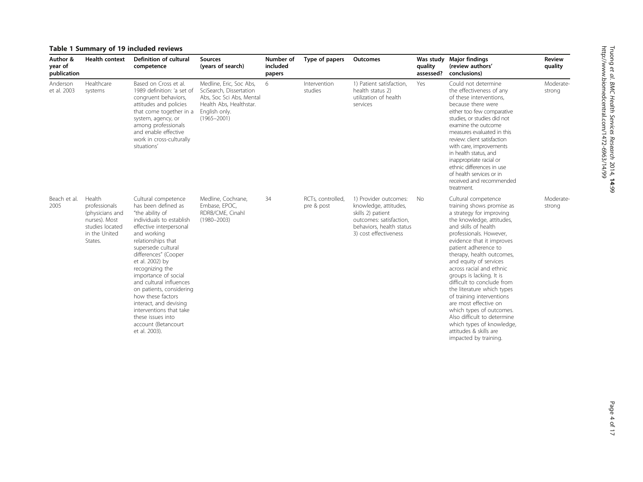<span id="page-3-0"></span>

|  | Table 1 Summary of 19 included reviews |  |  |  |
|--|----------------------------------------|--|--|--|
|--|----------------------------------------|--|--|--|

| Author &<br>vear of<br>publication | <b>Health context</b>                                                                                      | Definition of cultural<br>competence                                                                                                                                                                                                                                                                                                                                                                                                                                | Sources<br>(years of search)                                                                                                                  | Number of<br>included<br>papers | Type of papers                  | Outcomes                                                                                                                                            | Was study<br>quality<br>assessed? | <b>Major findings</b><br>(review authors'<br>conclusions)                                                                                                                                                                                                                                                                                                                                                                                                                                                                                                                                     | <b>Review</b><br>quality |
|------------------------------------|------------------------------------------------------------------------------------------------------------|---------------------------------------------------------------------------------------------------------------------------------------------------------------------------------------------------------------------------------------------------------------------------------------------------------------------------------------------------------------------------------------------------------------------------------------------------------------------|-----------------------------------------------------------------------------------------------------------------------------------------------|---------------------------------|---------------------------------|-----------------------------------------------------------------------------------------------------------------------------------------------------|-----------------------------------|-----------------------------------------------------------------------------------------------------------------------------------------------------------------------------------------------------------------------------------------------------------------------------------------------------------------------------------------------------------------------------------------------------------------------------------------------------------------------------------------------------------------------------------------------------------------------------------------------|--------------------------|
| Anderson<br>et al. 2003            | Healthcare<br>systems                                                                                      | Based on Cross et al.<br>1989 definition: 'a set of<br>congruent behaviors,<br>attitudes and policies<br>that come together in a<br>system, agency, or<br>among professionals<br>and enable effective<br>work in cross-culturally<br>situations'                                                                                                                                                                                                                    | Medline, Eric, Soc Abs,<br>SciSearch, Dissertation<br>Abs, Soc Sci Abs, Mental<br>Health Abs, Healthstar.<br>English only.<br>$(1965 - 2001)$ | 6                               | Intervention<br>studies         | 1) Patient satisfaction,<br>health status 2)<br>utilization of health<br>services                                                                   | Yes                               | Could not determine<br>the effectiveness of any<br>of these interventions,<br>because there were<br>either too few comparative<br>studies, or studies did not<br>examine the outcome<br>measures evaluated in this<br>review: client satisfaction<br>with care, improvements<br>in health status, and<br>inappropriate racial or<br>ethnic differences in use<br>of health services or in<br>received and recommended<br>treatment.                                                                                                                                                           | Moderate-<br>strong      |
| Beach et al.<br>2005               | Health<br>professionals<br>(physicians and<br>nurses). Most<br>studies located<br>in the United<br>States. | Cultural competence<br>has been defined as<br>"the ability of<br>individuals to establish<br>effective interpersonal<br>and working<br>relationships that<br>supersede cultural<br>differences" (Cooper<br>et al. 2002) by<br>recognizing the<br>importance of social<br>and cultural influences<br>on patients, considering<br>how these factors<br>interact, and devising<br>interventions that take<br>these issues into<br>account (Betancourt<br>et al. 2003). | Medline, Cochrane,<br>Embase, EPOC,<br>RDRB/CME, Cinahl<br>$(1980 - 2003)$                                                                    | 34                              | RCTs. controlled.<br>pre & post | 1) Provider outcomes:<br>knowledge, attitudes,<br>skills 2) patient<br>outcomes: satisfaction,<br>behaviors, health status<br>3) cost effectiveness | <b>No</b>                         | Cultural competence<br>training shows promise as<br>a strategy for improving<br>the knowledge, attitudes,<br>and skills of health<br>professionals. However,<br>evidence that it improves<br>patient adherence to<br>therapy, health outcomes,<br>and equity of services<br>across racial and ethnic<br>groups is lacking. It is<br>difficult to conclude from<br>the literature which types<br>of training interventions<br>are most effective on<br>which types of outcomes.<br>Also difficult to determine<br>which types of knowledge,<br>attitudes & skills are<br>impacted by training. | Moderate-<br>strong      |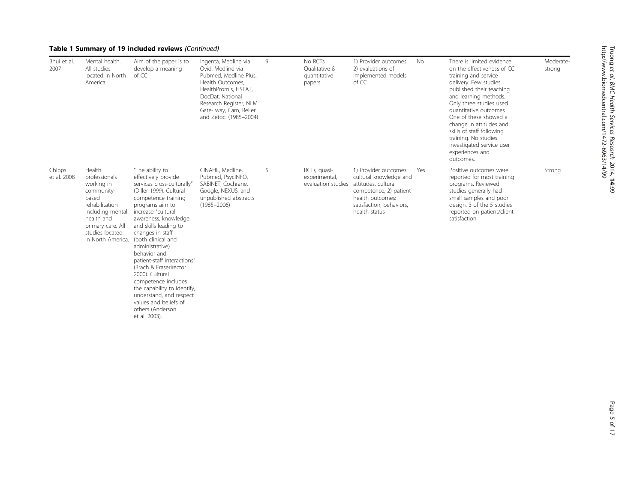Truong et al. BMC Health Services Research 2014, 14.<br>99 http://www.biomedcentral.com/1472-6963/14/99

| Bhui et al.<br>2007   | Mental health.<br>All studies<br>located in North<br>America.                                                                                                                 | Aim of the paper is to<br>develop a meaning<br>of CC                                                                                                                                                                                                                                                                                                                                                                                                                                                                      | Ingenta, Medline via<br>Ovid, Medline via<br>Pubmed, Medline Plus,<br>Health Outcomes.<br>HealthPromis, HSTAT,<br>DocDat, National<br>Research Register, NLM<br>Gate- way, Cam, ReFer<br>and Zetoc. (1985-2004) | 9 | No RCTs.<br>Oualitative &<br>quantitative<br>papers | 1) Provider outcomes<br>2) evaluations of<br>implemented models<br>of CC                                                                                          | <b>No</b> | There is limited evidence<br>on the effectiveness of CC<br>training and service<br>delivery. Few studies<br>published their teaching<br>and learning methods.<br>Only three studies used<br>quantitative outcomes.<br>One of these showed a<br>change in attitudes and<br>skills of staff following<br>training. No studies<br>investigated service user<br>experiences and<br>outcomes. | Moderate-<br>strong |
|-----------------------|-------------------------------------------------------------------------------------------------------------------------------------------------------------------------------|---------------------------------------------------------------------------------------------------------------------------------------------------------------------------------------------------------------------------------------------------------------------------------------------------------------------------------------------------------------------------------------------------------------------------------------------------------------------------------------------------------------------------|-----------------------------------------------------------------------------------------------------------------------------------------------------------------------------------------------------------------|---|-----------------------------------------------------|-------------------------------------------------------------------------------------------------------------------------------------------------------------------|-----------|------------------------------------------------------------------------------------------------------------------------------------------------------------------------------------------------------------------------------------------------------------------------------------------------------------------------------------------------------------------------------------------|---------------------|
| Chipps<br>et al. 2008 | Health<br>professionals<br>working in<br>community-<br>based<br>rehabilitation<br>including mental<br>health and<br>primary care. All<br>studies located<br>in North America. | "The ability to<br>effectively provide<br>services cross-culturally"<br>(Diller 1999). Cultural<br>competence training<br>programs aim to<br>increase "cultural<br>awareness, knowledge,<br>and skills leading to<br>changes in staff<br>(both clinical and<br>administrative)<br>behavior and<br>patient-staff interactions"<br>(Brach & Fraserirector<br>2000). Cultural<br>competence includes<br>the capability to identify,<br>understand, and respect<br>values and beliefs of<br>others (Anderson<br>et al. 2003). | CINAHL, Medline,<br>Pubmed, PsycINFO,<br>SABINET, Cochrane,<br>Google, NEXUS, and<br>unpublished abstracts<br>$(1985 - 2006)$                                                                                   | 5 | RCTs, quasi-<br>experimental,<br>evaluation studies | 1) Provider outcomes:<br>cultural knowledge and<br>attitudes, cultural<br>competence, 2) patient<br>health outcomes:<br>satisfaction, behaviors,<br>health status | Yes       | Positive outcomes were<br>reported for most training<br>programs. Reviewed<br>studies generally had<br>small samples and poor<br>design. 3 of the 5 studies<br>reported on patient/client<br>satisfaction.                                                                                                                                                                               | Strong              |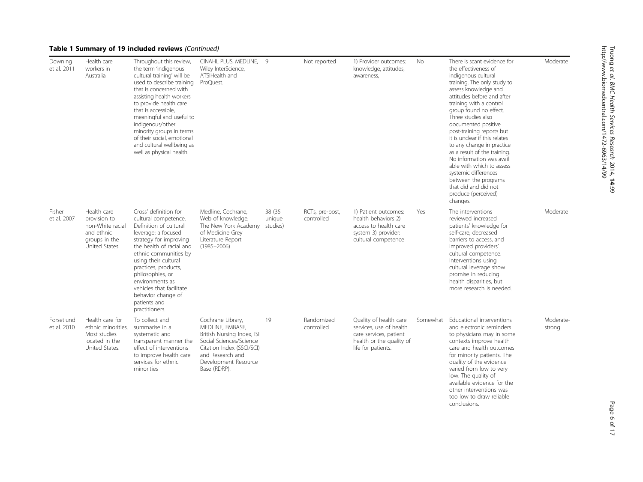## Table 1 Summary of 19 included reviews (Continued)

| Downing<br>et al. 2011    | Health care<br>workers in<br>Australia                                                           | Throughout this review,<br>the term 'indigenous<br>cultural training' will be<br>used to describe training<br>that is concerned with<br>assisting health workers<br>to provide health care<br>that is accessible,<br>meaningful and useful to<br>indigenous/other<br>minority groups in terms<br>of their social, emotional<br>and cultural wellbeing as<br>well as physical health. | CINAHL PLUS, MEDLINE, 9<br>Wiley InterScience,<br>ATSIHealth and<br>ProQuest.                                                                                                           |                              | Not reported                  | 1) Provider outcomes:<br>knowledge, attitudes,<br>awareness,                                                                  | <b>No</b> | There is scant evidence for<br>the effectiveness of<br>indigenous cultural<br>training. The only study to<br>assess knowledge and<br>attitudes before and after<br>training with a control<br>group found no effect.<br>Three studies also<br>documented positive<br>post-training reports but<br>it is unclear if this relates<br>to any change in practice<br>as a result of the training.<br>No information was avail<br>able with which to assess<br>systemic differences<br>between the programs<br>that did and did not<br>produce (perceived)<br>changes. | Moderate            |
|---------------------------|--------------------------------------------------------------------------------------------------|--------------------------------------------------------------------------------------------------------------------------------------------------------------------------------------------------------------------------------------------------------------------------------------------------------------------------------------------------------------------------------------|-----------------------------------------------------------------------------------------------------------------------------------------------------------------------------------------|------------------------------|-------------------------------|-------------------------------------------------------------------------------------------------------------------------------|-----------|------------------------------------------------------------------------------------------------------------------------------------------------------------------------------------------------------------------------------------------------------------------------------------------------------------------------------------------------------------------------------------------------------------------------------------------------------------------------------------------------------------------------------------------------------------------|---------------------|
| Fisher<br>et al. 2007     | Health care<br>provision to<br>non-White racial<br>and ethnic<br>groups in the<br>United States. | Cross' definition for<br>cultural competence.<br>Definition of cultural<br>leverage: a focused<br>strategy for improving<br>the health of racial and<br>ethnic communities by<br>using their cultural<br>practices, products,<br>philosophies, or<br>environments as<br>vehicles that facilitate<br>behavior change of<br>patients and<br>practitioners.                             | Medline, Cochrane,<br>Web of knowledge,<br>The New York Academy<br>of Medicine Grey<br>Literature Report<br>$(1985 - 2006)$                                                             | 38 (35<br>unique<br>studies) | RCTs, pre-post,<br>controlled | 1) Patient outcomes:<br>health behaviors 2)<br>access to health care<br>system 3) provider:<br>cultural competence            | Yes       | The interventions<br>reviewed increased<br>patients' knowledge for<br>self-care, decreased<br>barriers to access, and<br>improved providers'<br>cultural competence.<br>Interventions using<br>cultural leverage show<br>promise in reducing<br>health disparities, but<br>more research is needed.                                                                                                                                                                                                                                                              | Moderate            |
| Forsetlund<br>et al. 2010 | Health care for<br>ethnic minorities.<br>Most studies<br>located in the<br>United States.        | To collect and<br>summarise in a<br>systematic and<br>transparent manner the<br>effect of interventions<br>to improve health care<br>services for ethnic<br>minorities                                                                                                                                                                                                               | Cochrane Library,<br>MEDLINE, EMBASE,<br>British Nursing Index, ISI<br>Social Sciences/Science<br>Citation Index (SSCI/SCI)<br>and Research and<br>Development Resource<br>Base (RDRP). | 19                           | Randomized<br>controlled      | Quality of health care<br>services, use of health<br>care services, patient<br>health or the quality of<br>life for patients. | Somewhat  | Educational interventions<br>and electronic reminders<br>to physicians may in some<br>contexts improve health<br>care and health outcomes<br>for minority patients. The<br>quality of the evidence<br>varied from low to very<br>low. The quality of<br>available evidence for the<br>other interventions was<br>too low to draw reliable                                                                                                                                                                                                                        | Moderate-<br>strong |

conclusions.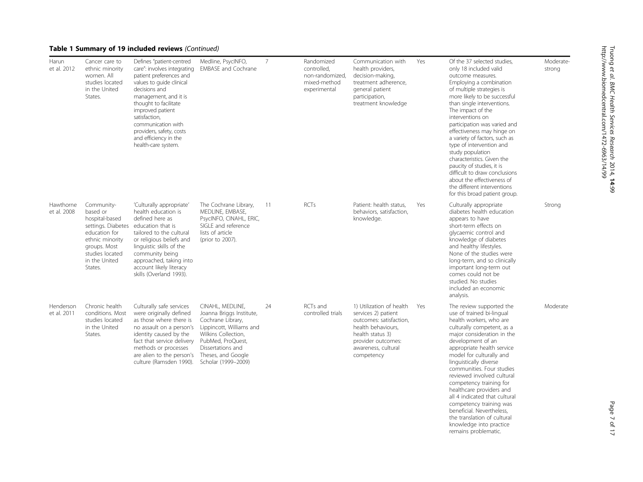| Table 1 Summary of 19 included reviews (Continued) |
|----------------------------------------------------|
|----------------------------------------------------|

| Harun<br>et al. 2012     | Cancer care to<br>ethnic minority<br>women. All<br>studies located<br>in the United<br>States.                                                                    | Defines "patient-centred<br>care": involves integrating<br>patient preferences and<br>values to quide clinical<br>decisions and<br>management, and it is<br>thought to facilitate<br>improved patient<br>satisfaction,<br>communication with<br>providers, safety, costs<br>and efficiency in the<br>health-care system. | Medline, PsycINFO,<br><b>EMBASE and Cochrane</b>                                                                                                                                                            | $\overline{7}$ | Randomized<br>controlled,<br>non-randomized.<br>mixed-method<br>experimental | Communication with<br>health providers,<br>decision-making,<br>treatment adherence,<br>general patient<br>participation,<br>treatment knowledge                                 | Yes | Of the 37 selected studies,<br>only 18 included valid<br>outcome measures.<br>Employing a combination<br>of multiple strategies is<br>more likely to be successful<br>than single interventions.<br>The impact of the<br>interventions on<br>participation was varied and<br>effectiveness may hinge on<br>a variety of factors, such as<br>type of intervention and<br>study population<br>characteristics. Given the<br>paucity of studies, it is<br>difficult to draw conclusions<br>about the effectiveness of<br>the different interventions<br>for this broad patient group. | Moderate-<br>strong |
|--------------------------|-------------------------------------------------------------------------------------------------------------------------------------------------------------------|--------------------------------------------------------------------------------------------------------------------------------------------------------------------------------------------------------------------------------------------------------------------------------------------------------------------------|-------------------------------------------------------------------------------------------------------------------------------------------------------------------------------------------------------------|----------------|------------------------------------------------------------------------------|---------------------------------------------------------------------------------------------------------------------------------------------------------------------------------|-----|------------------------------------------------------------------------------------------------------------------------------------------------------------------------------------------------------------------------------------------------------------------------------------------------------------------------------------------------------------------------------------------------------------------------------------------------------------------------------------------------------------------------------------------------------------------------------------|---------------------|
| Hawthorne<br>et al. 2008 | Community-<br>based or<br>hospital-based<br>settings. Diabetes<br>education for<br>ethnic minority<br>groups. Most<br>studies located<br>in the United<br>States. | 'Culturally appropriate'<br>health education is<br>defined here as<br>education that is<br>tailored to the cultural<br>or religious beliefs and<br>linguistic skills of the<br>community being<br>approached, taking into<br>account likely literacy<br>skills (Overland 1993).                                          | The Cochrane Library,<br>MEDLINE, EMBASE,<br>PsycINFO, CINAHL, ERIC,<br>SIGLE and reference<br>lists of article<br>(prior to 2007).                                                                         | 11             | <b>RCTs</b>                                                                  | Patient: health status.<br>behaviors, satisfaction,<br>knowledge.                                                                                                               | Yes | Culturally appropriate<br>diabetes health education<br>appears to have<br>short-term effects on<br>glycaemic control and<br>knowledge of diabetes<br>and healthy lifestyles.<br>None of the studies were<br>long-term, and so clinically<br>important long-term out<br>comes could not be<br>studied. No studies<br>included an economic<br>analysis.                                                                                                                                                                                                                              | Strong              |
| Henderson<br>et al. 2011 | Chronic health<br>conditions. Most<br>studies located<br>in the United<br>States.                                                                                 | Culturally safe services<br>were originally defined<br>as those where there is<br>no assault on a person's<br>identity caused by the<br>fact that service delivery<br>methods or processes<br>are alien to the person's<br>culture (Ramsden 1990).                                                                       | CINAHL, MEDLINE,<br>Joanna Briggs Institute,<br>Cochrane Library,<br>Lippincott, Williams and<br>Wilkins Collection.<br>PubMed, ProQuest,<br>Dissertations and<br>Theses, and Google<br>Scholar (1999-2009) | 24             | RCTs and<br>controlled trials                                                | 1) Utilization of health<br>services 2) patient<br>outcomes: satisfaction,<br>health behaviours,<br>health status 3)<br>provider outcomes:<br>awareness, cultural<br>competency | Yes | The review supported the<br>use of trained bi-lingual<br>health workers, who are<br>culturally competent, as a<br>major consideration in the<br>development of an<br>appropriate health service<br>model for culturally and<br>linguistically diverse<br>communities. Four studies<br>reviewed involved cultural<br>competency training for<br>healthcare providers and<br>all 4 indicated that cultural<br>competency training was<br>beneficial. Nevertheless,<br>the translation of cultural<br>knowledge into practice<br>remains problematic.                                 | Moderate            |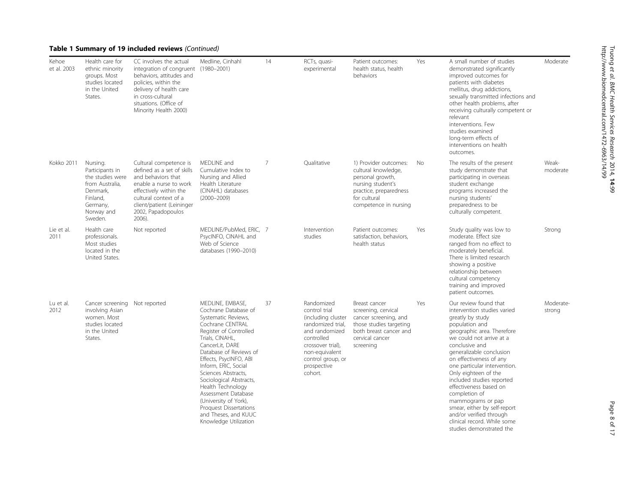# Truong et al. BMC Health Services Research 2014, 14.<br>99 http://www.biomedcentral.com/1472-6963/14/99

| Kehoe<br>et al. 2003 | Health care for<br>ethnic minority<br>groups. Most<br>studies located<br>in the United<br>States.                               | CC involves the actual<br>integration of congruent<br>behaviors, attitudes and<br>policies, within the<br>delivery of health care<br>in cross-cultural<br>situations. (Office of<br>Minority Health 2000)            | Medline, Cinhahl<br>$(1980 - 2001)$                                                                                                                                                                                                                                                                                                                                                                                                      | 14             | RCTs, quasi-<br>experimental                                                                                                                                                                 | Patient outcomes:<br>health status, health<br>behaviors                                                                                                  | Yes       | A small number of studies<br>demonstrated significantly<br>improved outcomes for<br>patients with diabetes<br>mellitus, drug addictions,<br>sexually transmitted infections and<br>other health problems, after<br>receiving culturally competent or<br>relevant<br>interventions. Few<br>studies examined<br>long-term effects of<br>interventions on health<br>outcomes.                                                                                                                               | Moderate            |
|----------------------|---------------------------------------------------------------------------------------------------------------------------------|----------------------------------------------------------------------------------------------------------------------------------------------------------------------------------------------------------------------|------------------------------------------------------------------------------------------------------------------------------------------------------------------------------------------------------------------------------------------------------------------------------------------------------------------------------------------------------------------------------------------------------------------------------------------|----------------|----------------------------------------------------------------------------------------------------------------------------------------------------------------------------------------------|----------------------------------------------------------------------------------------------------------------------------------------------------------|-----------|----------------------------------------------------------------------------------------------------------------------------------------------------------------------------------------------------------------------------------------------------------------------------------------------------------------------------------------------------------------------------------------------------------------------------------------------------------------------------------------------------------|---------------------|
| Kokko 2011           | Nursing.<br>Participants in<br>the studies were<br>from Australia,<br>Denmark,<br>Finland,<br>Germany,<br>Norway and<br>Sweden. | Cultural competence is<br>defined as a set of skills<br>and behaviors that<br>enable a nurse to work<br>effectively within the<br>cultural context of a<br>client/patient (Leininger<br>2002, Papadopoulos<br>2006). | MEDLINE and<br>Cumulative Index to<br>Nursing and Allied<br>Health Literature<br>(CINAHL) databases<br>$(2000 - 2009)$                                                                                                                                                                                                                                                                                                                   | $\overline{7}$ | Oualitative                                                                                                                                                                                  | 1) Provider outcomes:<br>cultural knowledge,<br>personal growth,<br>nursing student's<br>practice, preparedness<br>for cultural<br>competence in nursing | <b>No</b> | The results of the present<br>study demonstrate that<br>participating in overseas<br>student exchange<br>programs increased the<br>nursing students'<br>preparedness to be<br>culturally competent.                                                                                                                                                                                                                                                                                                      | Weak-<br>moderate   |
| Lie et al.<br>2011   | Health care<br>professionals.<br>Most studies<br>located in the<br>United States.                                               | Not reported                                                                                                                                                                                                         | MEDLINE/PubMed, ERIC, 7<br>PsycINFO, CINAHL and<br>Web of Science<br>databases (1990-2010)                                                                                                                                                                                                                                                                                                                                               |                | Intervention<br>studies                                                                                                                                                                      | Patient outcomes:<br>satisfaction, behaviors,<br>health status                                                                                           | Yes       | Study quality was low to<br>moderate. Effect size<br>ranged from no effect to<br>moderately beneficial.<br>There is limited research<br>showing a positive<br>relationship between<br>cultural competency<br>training and improved<br>patient outcomes.                                                                                                                                                                                                                                                  | Strong              |
| Lu et al.<br>2012    | Cancer screening Not reported<br>involving Asian<br>women. Most<br>studies located<br>in the United<br>States.                  |                                                                                                                                                                                                                      | MEDLINE, EMBASE,<br>Cochrane Database of<br>Systematic Reviews,<br>Cochrane CENTRAL<br>Register of Controlled<br>Trials, CINAHL,<br>CancerLit, DARE<br>Database of Reviews of<br>Effects, PsycINFO, ABI<br>Inform, ERIC, Social<br>Sciences Abstracts,<br>Sociological Abstracts,<br>Health Technology<br>Assessment Database<br>(University of York),<br><b>Proquest Dissertations</b><br>and Theses, and KUUC<br>Knowledge Utilization | 37             | Randomized<br>control trial<br>(including cluster<br>randomized trial,<br>and randomized<br>controlled<br>crossover trial),<br>non-equivalent<br>control group, or<br>prospective<br>cohort. | Breast cancer<br>screening, cervical<br>cancer screening, and<br>those studies targeting<br>both breast cancer and<br>cervical cancer<br>screening       | Yes       | Our review found that<br>intervention studies varied<br>greatly by study<br>population and<br>geographic area. Therefore<br>we could not arrive at a<br>conclusive and<br>generalizable conclusion<br>on effectiveness of any<br>one particular intervention.<br>Only eighteen of the<br>included studies reported<br>effectiveness based on<br>completion of<br>mammograms or pap<br>smear, either by self-report<br>and/or verified through<br>clinical record. While some<br>studies demonstrated the | Moderate-<br>strong |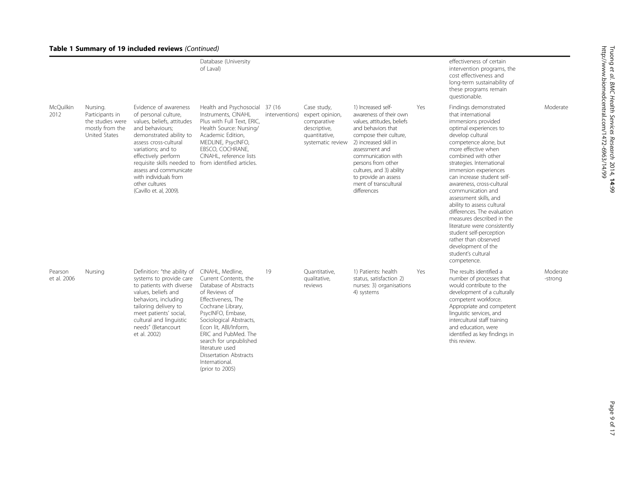|                        |                                                                                     |                                                                                                                                                                                                                                                                                                                                                         | Database (University<br>of Laval)                                                                                                                                                                                                                                                                                                                  |                |                                                                                                     |                                                                                                                                                                                                                                                                                                               |     | effectiveness of certain<br>intervention programs, the<br>cost effectiveness and<br>long-term sustainability of<br>these programs remain<br>questionable.                                                                                                                                                                                                                                                                                                                                                                                                                                       |                     |
|------------------------|-------------------------------------------------------------------------------------|---------------------------------------------------------------------------------------------------------------------------------------------------------------------------------------------------------------------------------------------------------------------------------------------------------------------------------------------------------|----------------------------------------------------------------------------------------------------------------------------------------------------------------------------------------------------------------------------------------------------------------------------------------------------------------------------------------------------|----------------|-----------------------------------------------------------------------------------------------------|---------------------------------------------------------------------------------------------------------------------------------------------------------------------------------------------------------------------------------------------------------------------------------------------------------------|-----|-------------------------------------------------------------------------------------------------------------------------------------------------------------------------------------------------------------------------------------------------------------------------------------------------------------------------------------------------------------------------------------------------------------------------------------------------------------------------------------------------------------------------------------------------------------------------------------------------|---------------------|
| McQuilkin<br>2012      | Nursing.<br>Participants in<br>the studies were<br>mostly from the<br>United States | Evidence of awareness<br>of personal culture,<br>values, beliefs, attitudes<br>and behaviours;<br>demonstrated ability to<br>assess cross-cultural<br>variations; and to<br>effectively perform<br>requisite skills needed to from identified articles.<br>assess and communicate<br>with individuals from<br>other cultures<br>(Cavillo et. al, 2009). | Health and Psychosocial 37 (16<br>Instruments, CINAHL<br>Plus with Full Text, ERIC,<br>Health Source: Nursing/<br>Academic Edition,<br>MEDLINE, PsycINFO,<br>EBSCO, COCHRANE,<br>CINAHL, reference lists                                                                                                                                           | interventions) | Case study,<br>expert opinion,<br>comparative<br>descriptive,<br>quantitative,<br>systematic review | 1) Increased self-<br>awareness of their own<br>values, attitudes, beliefs<br>and behaviors that<br>compose their culture,<br>2) increased skill in<br>assessment and<br>communication with<br>persons from other<br>cultures, and 3) ability<br>to provide an assess<br>ment of transcultural<br>differences | Yes | Findings demonstrated<br>that international<br>immersions provided<br>optimal experiences to<br>develop cultural<br>competence alone, but<br>more effective when<br>combined with other<br>strategies. International<br>immersion experiences<br>can increase student self-<br>awareness, cross-cultural<br>communication and<br>assessment skills, and<br>ability to assess cultural<br>differences. The evaluation<br>measures described in the<br>literature were consistently<br>student self-perception<br>rather than observed<br>development of the<br>student's cultural<br>competence. | Moderate            |
| Pearson<br>et al. 2006 | Nursing                                                                             | Definition: "the ability of<br>systems to provide care<br>to patients with diverse<br>values, beliefs and<br>behaviors, including<br>tailoring delivery to<br>meet patients' social,<br>cultural and linguistic<br>needs" (Betancourt<br>et al. 2002)                                                                                                   | CINAHL, Medline,<br>Current Contents, the<br>Database of Abstracts<br>of Reviews of<br>Effectiveness. The<br>Cochrane Library,<br>PsycINFO, Embase,<br>Sociological Abstracts,<br>Econ lit, ABI/Inform,<br>ERIC and PubMed. The<br>search for unpublished<br>literature used<br><b>Dissertation Abstracts</b><br>International.<br>(prior to 2005) | 19             | Quantitative,<br>qualitative,<br>reviews                                                            | 1) Patients: health<br>status, satisfaction 2)<br>nurses: 3) organisations<br>4) systems                                                                                                                                                                                                                      | Yes | The results identified a<br>number of processes that<br>would contribute to the<br>development of a culturally<br>competent workforce.<br>Appropriate and competent<br>linguistic services, and<br>intercultural staff training<br>and education, were<br>identified as key findings in<br>this review.                                                                                                                                                                                                                                                                                         | Moderate<br>-strong |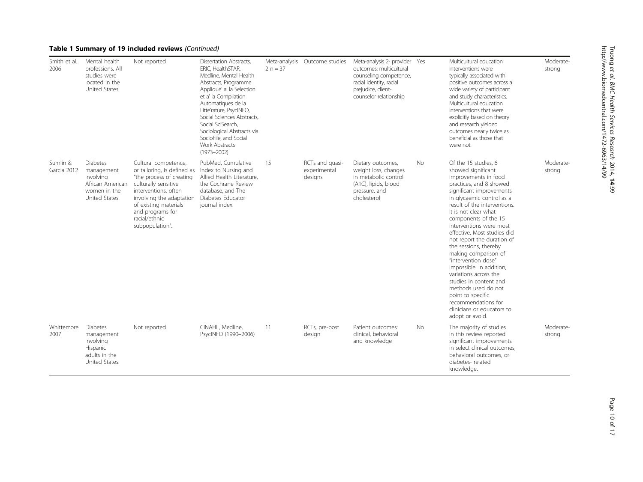# Truong et al. BMC Health Services Research 2014, 14.<br>99 http://www.biomedcentral.com/1472-6963/14/99

| Smith et al.<br>2006    | Mental health<br>professions. All<br>studies were<br>located in the<br>United States.           | Not reported                                                                                                                                                                                                                                 | <b>Dissertation Abstracts,</b><br>ERIC. HealthSTAR.<br>Medline, Mental Health<br>Abstracts, Programme<br>Applique' a' la Selection<br>et a' la Compilation<br>Automatiques de la<br>Litte'rature, PsycINFO,<br>Social Sciences Abstracts,<br>Social SciSearch.<br>Sociological Abstracts via<br>SocioFile, and Social<br>Work Abstracts<br>$(1973 - 2002)$ | $2 n = 37$ | Meta-analysis Outcome studies              | Meta-analysis 2- provider Yes<br>outcomes: multicultural<br>counseling competence,<br>racial identity, racial<br>prejudice, client-<br>counselor relationship |    | Multicultural education<br>interventions were<br>typically associated with<br>positive outcomes across a<br>wide variety of participant<br>and study characteristics.<br>Multicultural education<br>interventions that were<br>explicitly based on theory<br>and research yielded<br>outcomes nearly twice as<br>beneficial as those that<br>were not.                                                                                                                                                                                                                                                    | Moderate-<br>strong |
|-------------------------|-------------------------------------------------------------------------------------------------|----------------------------------------------------------------------------------------------------------------------------------------------------------------------------------------------------------------------------------------------|------------------------------------------------------------------------------------------------------------------------------------------------------------------------------------------------------------------------------------------------------------------------------------------------------------------------------------------------------------|------------|--------------------------------------------|---------------------------------------------------------------------------------------------------------------------------------------------------------------|----|-----------------------------------------------------------------------------------------------------------------------------------------------------------------------------------------------------------------------------------------------------------------------------------------------------------------------------------------------------------------------------------------------------------------------------------------------------------------------------------------------------------------------------------------------------------------------------------------------------------|---------------------|
| Sumlin &<br>Garcia 2012 | <b>Diabetes</b><br>management<br>involving<br>African American<br>women in the<br>United States | Cultural competence,<br>or tailoring, is defined as<br>"the process of creating<br>culturally sensitive<br>interventions, often<br>involving the adaptation<br>of existing materials<br>and programs for<br>racial/ethnic<br>subpopulation". | PubMed, Cumulative<br>Index to Nursing and<br>Allied Health Literature.<br>the Cochrane Review<br>database, and The<br>Diabetes Educator<br>journal index.                                                                                                                                                                                                 | 15         | RCTs and quasi-<br>experimental<br>designs | Dietary outcomes,<br>weight loss, changes<br>in metabolic control<br>(A1C), lipids, blood<br>pressure, and<br>cholesterol                                     | No | Of the 15 studies. 6<br>showed significant<br>improvements in food<br>practices, and 8 showed<br>significant improvements<br>in glycaemic control as a<br>result of the interventions.<br>It is not clear what<br>components of the 15<br>interventions were most<br>effective. Most studies did<br>not report the duration of<br>the sessions, thereby<br>making comparison of<br>"intervention dose"<br>impossible. In addition,<br>variations across the<br>studies in content and<br>methods used do not<br>point to specific<br>recommendations for<br>clinicians or educators to<br>adopt or avoid. | Moderate-<br>strong |
| Whittemore<br>2007      | Diabetes<br>management<br>involving<br>Hispanic<br>adults in the<br>United States.              | Not reported                                                                                                                                                                                                                                 | CINAHL, Medline,<br>PsycINFO (1990-2006)                                                                                                                                                                                                                                                                                                                   | 11         | RCTs, pre-post<br>design                   | Patient outcomes:<br>clinical, behavioral<br>and knowledge                                                                                                    | No | The majority of studies<br>in this review reported<br>significant improvements<br>in select clinical outcomes.<br>behavioral outcomes, or<br>diabetes-related<br>knowledge.                                                                                                                                                                                                                                                                                                                                                                                                                               | Moderate-<br>strong |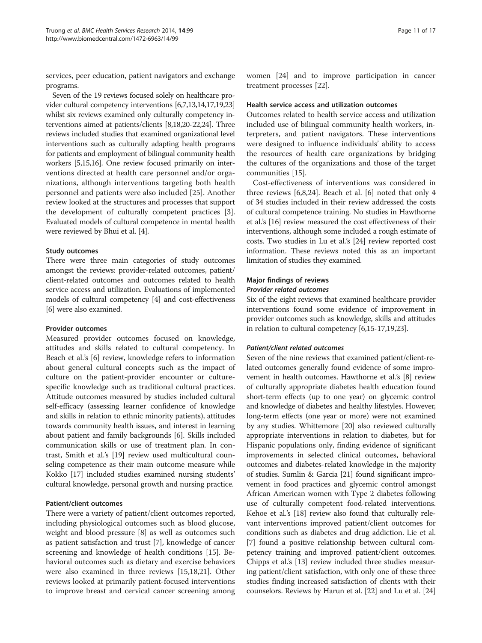services, peer education, patient navigators and exchange programs.

Seven of the 19 reviews focused solely on healthcare provider cultural competency interventions [\[6,7,13,14,17,19,23](#page-15-0)] whilst six reviews examined only culturally competency interventions aimed at patients/clients [\[8,18,20-22,24\]](#page-15-0). Three reviews included studies that examined organizational level interventions such as culturally adapting health programs for patients and employment of bilingual community health workers [[5,15,16](#page-15-0)]. One review focused primarily on interventions directed at health care personnel and/or organizations, although interventions targeting both health personnel and patients were also included [[25\]](#page-15-0). Another review looked at the structures and processes that support the development of culturally competent practices [[3](#page-15-0)]. Evaluated models of cultural competence in mental health were reviewed by Bhui et al. [\[4](#page-15-0)].

#### Study outcomes

There were three main categories of study outcomes amongst the reviews: provider-related outcomes, patient/ client-related outcomes and outcomes related to health service access and utilization. Evaluations of implemented models of cultural competency [[4\]](#page-15-0) and cost-effectiveness [[6\]](#page-15-0) were also examined.

#### Provider outcomes

Measured provider outcomes focused on knowledge, attitudes and skills related to cultural competency. In Beach et al.'s [\[6](#page-15-0)] review, knowledge refers to information about general cultural concepts such as the impact of culture on the patient-provider encounter or culturespecific knowledge such as traditional cultural practices. Attitude outcomes measured by studies included cultural self-efficacy (assessing learner confidence of knowledge and skills in relation to ethnic minority patients), attitudes towards community health issues, and interest in learning about patient and family backgrounds [\[6](#page-15-0)]. Skills included communication skills or use of treatment plan. In contrast, Smith et al.'s [\[19](#page-15-0)] review used multicultural counseling competence as their main outcome measure while Kokko [\[17\]](#page-15-0) included studies examined nursing students' cultural knowledge, personal growth and nursing practice.

#### Patient/client outcomes

There were a variety of patient/client outcomes reported, including physiological outcomes such as blood glucose, weight and blood pressure [\[8](#page-15-0)] as well as outcomes such as patient satisfaction and trust [\[7](#page-15-0)], knowledge of cancer screening and knowledge of health conditions [[15](#page-15-0)]. Behavioral outcomes such as dietary and exercise behaviors were also examined in three reviews [\[15,18,21](#page-15-0)]. Other reviews looked at primarily patient-focused interventions to improve breast and cervical cancer screening among

#### Health service access and utilization outcomes

Outcomes related to health service access and utilization included use of bilingual community health workers, interpreters, and patient navigators. These interventions were designed to influence individuals' ability to access the resources of health care organizations by bridging the cultures of the organizations and those of the target communities [[15\]](#page-15-0).

Cost-effectiveness of interventions was considered in three reviews [\[6,8,24](#page-15-0)]. Beach et al. [\[6](#page-15-0)] noted that only 4 of 34 studies included in their review addressed the costs of cultural competence training. No studies in Hawthorne et al.'s [\[16\]](#page-15-0) review measured the cost effectiveness of their interventions, although some included a rough estimate of costs. Two studies in Lu et al.'s [\[24\]](#page-15-0) review reported cost information. These reviews noted this as an important limitation of studies they examined.

#### Major findings of reviews

#### Provider related outcomes

Six of the eight reviews that examined healthcare provider interventions found some evidence of improvement in provider outcomes such as knowledge, skills and attitudes in relation to cultural competency [\[6,15-17,19,23](#page-15-0)].

#### Patient/client related outcomes

Seven of the nine reviews that examined patient/client-related outcomes generally found evidence of some improvement in health outcomes. Hawthorne et al.'s [\[8](#page-15-0)] review of culturally appropriate diabetes health education found short-term effects (up to one year) on glycemic control and knowledge of diabetes and healthy lifestyles. However, long-term effects (one year or more) were not examined by any studies. Whittemore [[20](#page-15-0)] also reviewed culturally appropriate interventions in relation to diabetes, but for Hispanic populations only, finding evidence of significant improvements in selected clinical outcomes, behavioral outcomes and diabetes-related knowledge in the majority of studies. Sumlin & Garcia [[21](#page-15-0)] found significant improvement in food practices and glycemic control amongst African American women with Type 2 diabetes following use of culturally competent food-related interventions. Kehoe et al.'s [\[18\]](#page-15-0) review also found that culturally relevant interventions improved patient/client outcomes for conditions such as diabetes and drug addiction. Lie et al. [[7\]](#page-15-0) found a positive relationship between cultural competency training and improved patient/client outcomes. Chipps et al.'s [\[13](#page-15-0)] review included three studies measuring patient/client satisfaction, with only one of these three studies finding increased satisfaction of clients with their counselors. Reviews by Harun et al. [[22](#page-15-0)] and Lu et al. [[24](#page-15-0)]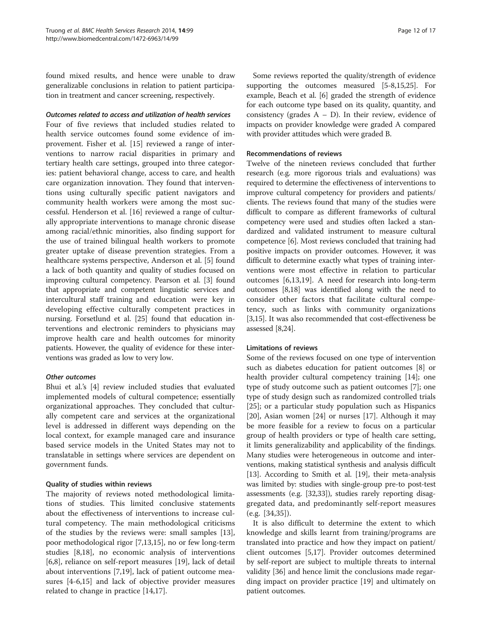found mixed results, and hence were unable to draw generalizable conclusions in relation to patient participation in treatment and cancer screening, respectively.

#### Outcomes related to access and utilization of health services

Four of five reviews that included studies related to health service outcomes found some evidence of improvement. Fisher et al. [[15\]](#page-15-0) reviewed a range of interventions to narrow racial disparities in primary and tertiary health care settings, grouped into three categories: patient behavioral change, access to care, and health care organization innovation. They found that interventions using culturally specific patient navigators and community health workers were among the most successful. Henderson et al. [\[16\]](#page-15-0) reviewed a range of culturally appropriate interventions to manage chronic disease among racial/ethnic minorities, also finding support for the use of trained bilingual health workers to promote greater uptake of disease prevention strategies. From a healthcare systems perspective, Anderson et al. [[5\]](#page-15-0) found a lack of both quantity and quality of studies focused on improving cultural competency. Pearson et al. [[3\]](#page-15-0) found that appropriate and competent linguistic services and intercultural staff training and education were key in developing effective culturally competent practices in nursing. Forsetlund et al. [[25](#page-15-0)] found that education interventions and electronic reminders to physicians may improve health care and health outcomes for minority patients. However, the quality of evidence for these interventions was graded as low to very low.

#### Other outcomes

Bhui et al.'s [[4\]](#page-15-0) review included studies that evaluated implemented models of cultural competence; essentially organizational approaches. They concluded that culturally competent care and services at the organizational level is addressed in different ways depending on the local context, for example managed care and insurance based service models in the United States may not to translatable in settings where services are dependent on government funds.

#### Quality of studies within reviews

The majority of reviews noted methodological limitations of studies. This limited conclusive statements about the effectiveness of interventions to increase cultural competency. The main methodological criticisms of the studies by the reviews were: small samples [\[13](#page-15-0)], poor methodological rigor [\[7,13,15](#page-15-0)], no or few long-term studies [\[8,18](#page-15-0)], no economic analysis of interventions [[6,8\]](#page-15-0), reliance on self-report measures [\[19](#page-15-0)], lack of detail about interventions [\[7,19](#page-15-0)], lack of patient outcome measures [[4-6,15\]](#page-15-0) and lack of objective provider measures related to change in practice [\[14,17](#page-15-0)].

Some reviews reported the quality/strength of evidence supporting the outcomes measured [[5-8,15,25](#page-15-0)]. For example, Beach et al. [[6](#page-15-0)] graded the strength of evidence for each outcome type based on its quality, quantity, and consistency (grades  $A - D$ ). In their review, evidence of impacts on provider knowledge were graded A compared with provider attitudes which were graded B.

#### Recommendations of reviews

Twelve of the nineteen reviews concluded that further research (e.g. more rigorous trials and evaluations) was required to determine the effectiveness of interventions to improve cultural competency for providers and patients/ clients. The reviews found that many of the studies were difficult to compare as different frameworks of cultural competency were used and studies often lacked a standardized and validated instrument to measure cultural competence [[6\]](#page-15-0). Most reviews concluded that training had positive impacts on provider outcomes. However, it was difficult to determine exactly what types of training interventions were most effective in relation to particular outcomes [[6,13,19](#page-15-0)]. A need for research into long-term outcomes [[8](#page-15-0),[18](#page-15-0)] was identified along with the need to consider other factors that facilitate cultural competency, such as links with community organizations [[3,15](#page-15-0)]. It was also recommended that cost-effectiveness be assessed [\[8,24\]](#page-15-0).

#### Limitations of reviews

Some of the reviews focused on one type of intervention such as diabetes education for patient outcomes [\[8](#page-15-0)] or health provider cultural competency training [[14\]](#page-15-0); one type of study outcome such as patient outcomes [\[7](#page-15-0)]; one type of study design such as randomized controlled trials [[25\]](#page-15-0); or a particular study population such as Hispanics [[20\]](#page-15-0), Asian women [[24\]](#page-15-0) or nurses [[17\]](#page-15-0). Although it may be more feasible for a review to focus on a particular group of health providers or type of health care setting, it limits generalizability and applicability of the findings. Many studies were heterogeneous in outcome and interventions, making statistical synthesis and analysis difficult [[13](#page-15-0)]. According to Smith et al. [\[19\]](#page-15-0), their meta-analysis was limited by: studies with single-group pre-to post-test assessments (e.g. [[32,33](#page-15-0)]), studies rarely reporting disaggregated data, and predominantly self-report measures (e.g. [[34,](#page-15-0)[35](#page-16-0)]).

It is also difficult to determine the extent to which knowledge and skills learnt from training/programs are translated into practice and how they impact on patient/ client outcomes [\[5,17](#page-15-0)]. Provider outcomes determined by self-report are subject to multiple threats to internal validity [\[36\]](#page-16-0) and hence limit the conclusions made regarding impact on provider practice [[19](#page-15-0)] and ultimately on patient outcomes.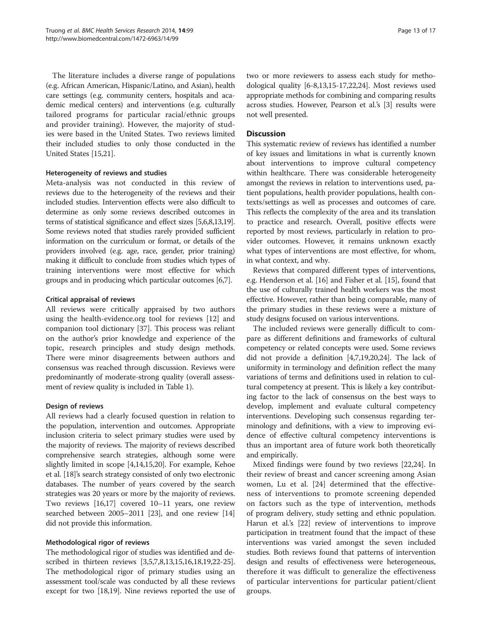The literature includes a diverse range of populations (e.g. African American, Hispanic/Latino, and Asian), health care settings (e.g. community centers, hospitals and academic medical centers) and interventions (e.g. culturally tailored programs for particular racial/ethnic groups and provider training). However, the majority of studies were based in the United States. Two reviews limited their included studies to only those conducted in the United States [[15](#page-15-0),[21](#page-15-0)].

#### Heterogeneity of reviews and studies

Meta-analysis was not conducted in this review of reviews due to the heterogeneity of the reviews and their included studies. Intervention effects were also difficult to determine as only some reviews described outcomes in terms of statistical significance and effect sizes [[5,6,8,13,19](#page-15-0)]. Some reviews noted that studies rarely provided sufficient information on the curriculum or format, or details of the providers involved (e.g. age, race, gender, prior training) making it difficult to conclude from studies which types of training interventions were most effective for which groups and in producing which particular outcomes [\[6,7\]](#page-15-0).

#### Critical appraisal of reviews

All reviews were critically appraised by two authors using the health-evidence.org tool for reviews [\[12\]](#page-15-0) and companion tool dictionary [\[37](#page-16-0)]. This process was reliant on the author's prior knowledge and experience of the topic, research principles and study design methods. There were minor disagreements between authors and consensus was reached through discussion. Reviews were predominantly of moderate-strong quality (overall assessment of review quality is included in Table [1](#page-3-0)).

#### Design of reviews

All reviews had a clearly focused question in relation to the population, intervention and outcomes. Appropriate inclusion criteria to select primary studies were used by the majority of reviews. The majority of reviews described comprehensive search strategies, although some were slightly limited in scope [\[4,14,15,20](#page-15-0)]. For example, Kehoe et al. [\[18](#page-15-0)]'s search strategy consisted of only two electronic databases. The number of years covered by the search strategies was 20 years or more by the majority of reviews. Two reviews [[16](#page-15-0),[17](#page-15-0)] covered 10–11 years, one review searched between 2005–2011 [\[23\]](#page-15-0), and one review [[14](#page-15-0)] did not provide this information.

#### Methodological rigor of reviews

The methodological rigor of studies was identified and described in thirteen reviews [[3,5,7,8,13,15,16,18,19,22](#page-15-0)-[25](#page-15-0)]. The methodological rigor of primary studies using an assessment tool/scale was conducted by all these reviews except for two [[18,19\]](#page-15-0). Nine reviews reported the use of two or more reviewers to assess each study for methodological quality [\[6-8,13,15-17,22,24](#page-15-0)]. Most reviews used appropriate methods for combining and comparing results across studies. However, Pearson et al.'s [\[3](#page-15-0)] results were not well presented.

#### **Discussion**

This systematic review of reviews has identified a number of key issues and limitations in what is currently known about interventions to improve cultural competency within healthcare. There was considerable heterogeneity amongst the reviews in relation to interventions used, patient populations, health provider populations, health contexts/settings as well as processes and outcomes of care. This reflects the complexity of the area and its translation to practice and research. Overall, positive effects were reported by most reviews, particularly in relation to provider outcomes. However, it remains unknown exactly what types of interventions are most effective, for whom, in what context, and why.

Reviews that compared different types of interventions, e.g. Henderson et al. [\[16\]](#page-15-0) and Fisher et al. [[15](#page-15-0)], found that the use of culturally trained health workers was the most effective. However, rather than being comparable, many of the primary studies in these reviews were a mixture of study designs focused on various interventions.

The included reviews were generally difficult to compare as different definitions and frameworks of cultural competency or related concepts were used. Some reviews did not provide a definition [[4,7,19,20,24\]](#page-15-0). The lack of uniformity in terminology and definition reflect the many variations of terms and definitions used in relation to cultural competency at present. This is likely a key contributing factor to the lack of consensus on the best ways to develop, implement and evaluate cultural competency interventions. Developing such consensus regarding terminology and definitions, with a view to improving evidence of effective cultural competency interventions is thus an important area of future work both theoretically and empirically.

Mixed findings were found by two reviews [\[22,24\]](#page-15-0). In their review of breast and cancer screening among Asian women, Lu et al. [\[24](#page-15-0)] determined that the effectiveness of interventions to promote screening depended on factors such as the type of intervention, methods of program delivery, study setting and ethnic population. Harun et al.'s [\[22\]](#page-15-0) review of interventions to improve participation in treatment found that the impact of these interventions was varied amongst the seven included studies. Both reviews found that patterns of intervention design and results of effectiveness were heterogeneous, therefore it was difficult to generalize the effectiveness of particular interventions for particular patient/client groups.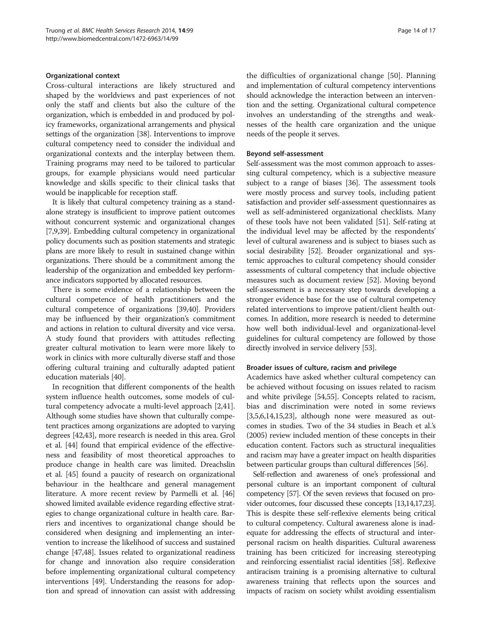#### Organizational context

Cross-cultural interactions are likely structured and shaped by the worldviews and past experiences of not only the staff and clients but also the culture of the organization, which is embedded in and produced by policy frameworks, organizational arrangements and physical settings of the organization [\[38\]](#page-16-0). Interventions to improve cultural competency need to consider the individual and organizational contexts and the interplay between them. Training programs may need to be tailored to particular groups, for example physicians would need particular knowledge and skills specific to their clinical tasks that would be inapplicable for reception staff.

It is likely that cultural competency training as a standalone strategy is insufficient to improve patient outcomes without concurrent systemic and organizational changes [[7,9](#page-15-0)[,39\]](#page-16-0). Embedding cultural competency in organizational policy documents such as position statements and strategic plans are more likely to result in sustained change within organizations. There should be a commitment among the leadership of the organization and embedded key performance indicators supported by allocated resources.

There is some evidence of a relationship between the cultural competence of health practitioners and the cultural competence of organizations [\[39,40](#page-16-0)]. Providers may be influenced by their organization's commitment and actions in relation to cultural diversity and vice versa. A study found that providers with attitudes reflecting greater cultural motivation to learn were more likely to work in clinics with more culturally diverse staff and those offering cultural training and culturally adapted patient education materials [[40](#page-16-0)].

In recognition that different components of the health system influence health outcomes, some models of cultural competency advocate a multi-level approach [\[2](#page-15-0)[,41](#page-16-0)]. Although some studies have shown that culturally competent practices among organizations are adopted to varying degrees [[42,43\]](#page-16-0), more research is needed in this area. Grol et al. [[44](#page-16-0)] found that empirical evidence of the effectiveness and feasibility of most theoretical approaches to produce change in health care was limited. Dreachslin et al. [\[45\]](#page-16-0) found a paucity of research on organizational behaviour in the healthcare and general management literature. A more recent review by Parmelli et al. [[46](#page-16-0)] showed limited available evidence regarding effective strategies to change organizational culture in health care. Barriers and incentives to organizational change should be considered when designing and implementing an intervention to increase the likelihood of success and sustained change [[47,48](#page-16-0)]. Issues related to organizational readiness for change and innovation also require consideration before implementing organizational cultural competency interventions [[49\]](#page-16-0). Understanding the reasons for adoption and spread of innovation can assist with addressing

the difficulties of organizational change [\[50](#page-16-0)]. Planning and implementation of cultural competency interventions should acknowledge the interaction between an intervention and the setting. Organizational cultural competence involves an understanding of the strengths and weaknesses of the health care organization and the unique needs of the people it serves.

#### Beyond self-assessment

Self-assessment was the most common approach to assessing cultural competency, which is a subjective measure subject to a range of biases [\[36\]](#page-16-0). The assessment tools were mostly process and survey tools, including patient satisfaction and provider self-assessment questionnaires as well as self-administered organizational checklists. Many of these tools have not been validated [[51](#page-16-0)]. Self-rating at the individual level may be affected by the respondents' level of cultural awareness and is subject to biases such as social desirability [\[52\]](#page-16-0). Broader organizational and systemic approaches to cultural competency should consider assessments of cultural competency that include objective measures such as document review [\[52](#page-16-0)]. Moving beyond self-assessment is a necessary step towards developing a stronger evidence base for the use of cultural competency related interventions to improve patient/client health outcomes. In addition, more research is needed to determine how well both individual-level and organizational-level guidelines for cultural competency are followed by those directly involved in service delivery [\[53](#page-16-0)].

#### Broader issues of culture, racism and privilege

Academics have asked whether cultural competency can be achieved without focusing on issues related to racism and white privilege [[54,55\]](#page-16-0). Concepts related to racism, bias and discrimination were noted in some reviews [[3,5,6,14,15,23](#page-15-0)], although none were measured as outcomes in studies. Two of the 34 studies in Beach et al.'s (2005) review included mention of these concepts in their education content. Factors such as structural inequalities and racism may have a greater impact on health disparities between particular groups than cultural differences [\[56\]](#page-16-0).

Self-reflection and awareness of one's professional and personal culture is an important component of cultural competency [\[57\]](#page-16-0). Of the seven reviews that focused on provider outcomes, four discussed these concepts [[13,14,17,23](#page-15-0)]. This is despite these self-reflexive elements being critical to cultural competency. Cultural awareness alone is inadequate for addressing the effects of structural and interpersonal racism on health disparities. Cultural awareness training has been criticized for increasing stereotyping and reinforcing essentialist racial identities [\[58](#page-16-0)]. Reflexive antiracism training is a promising alternative to cultural awareness training that reflects upon the sources and impacts of racism on society whilst avoiding essentialism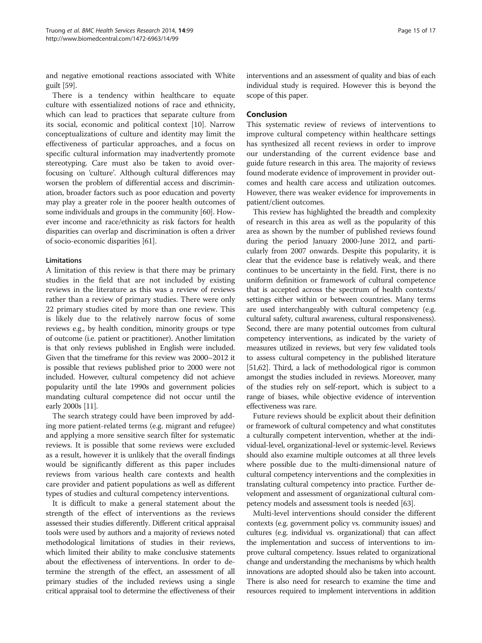and negative emotional reactions associated with White guilt [\[59\]](#page-16-0).

There is a tendency within healthcare to equate culture with essentialized notions of race and ethnicity, which can lead to practices that separate culture from its social, economic and political context [[10](#page-15-0)]. Narrow conceptualizations of culture and identity may limit the effectiveness of particular approaches, and a focus on specific cultural information may inadvertently promote stereotyping. Care must also be taken to avoid overfocusing on 'culture'. Although cultural differences may worsen the problem of differential access and discrimination, broader factors such as poor education and poverty may play a greater role in the poorer health outcomes of some individuals and groups in the community [\[60](#page-16-0)]. However income and race/ethnicity as risk factors for health disparities can overlap and discrimination is often a driver of socio-economic disparities [[61](#page-16-0)].

#### **Limitations**

A limitation of this review is that there may be primary studies in the field that are not included by existing reviews in the literature as this was a review of reviews rather than a review of primary studies. There were only 22 primary studies cited by more than one review. This is likely due to the relatively narrow focus of some reviews e.g., by health condition, minority groups or type of outcome (i.e. patient or practitioner). Another limitation is that only reviews published in English were included. Given that the timeframe for this review was 2000–2012 it is possible that reviews published prior to 2000 were not included. However, cultural competency did not achieve popularity until the late 1990s and government policies mandating cultural competence did not occur until the early 2000s [\[11\]](#page-15-0).

The search strategy could have been improved by adding more patient-related terms (e.g. migrant and refugee) and applying a more sensitive search filter for systematic reviews. It is possible that some reviews were excluded as a result, however it is unlikely that the overall findings would be significantly different as this paper includes reviews from various health care contexts and health care provider and patient populations as well as different types of studies and cultural competency interventions.

It is difficult to make a general statement about the strength of the effect of interventions as the reviews assessed their studies differently. Different critical appraisal tools were used by authors and a majority of reviews noted methodological limitations of studies in their reviews, which limited their ability to make conclusive statements about the effectiveness of interventions. In order to determine the strength of the effect, an assessment of all primary studies of the included reviews using a single critical appraisal tool to determine the effectiveness of their

interventions and an assessment of quality and bias of each individual study is required. However this is beyond the scope of this paper.

#### Conclusion

This systematic review of reviews of interventions to improve cultural competency within healthcare settings has synthesized all recent reviews in order to improve our understanding of the current evidence base and guide future research in this area. The majority of reviews found moderate evidence of improvement in provider outcomes and health care access and utilization outcomes. However, there was weaker evidence for improvements in patient/client outcomes.

This review has highlighted the breadth and complexity of research in this area as well as the popularity of this area as shown by the number of published reviews found during the period January 2000-June 2012, and particularly from 2007 onwards. Despite this popularity, it is clear that the evidence base is relatively weak, and there continues to be uncertainty in the field. First, there is no uniform definition or framework of cultural competence that is accepted across the spectrum of health contexts/ settings either within or between countries. Many terms are used interchangeably with cultural competency (e.g. cultural safety, cultural awareness, cultural responsiveness). Second, there are many potential outcomes from cultural competency interventions, as indicated by the variety of measures utilized in reviews, but very few validated tools to assess cultural competency in the published literature [[51,62\]](#page-16-0). Third, a lack of methodological rigor is common amongst the studies included in reviews. Moreover, many of the studies rely on self-report, which is subject to a range of biases, while objective evidence of intervention effectiveness was rare.

Future reviews should be explicit about their definition or framework of cultural competency and what constitutes a culturally competent intervention, whether at the individual-level, organizational-level or systemic-level. Reviews should also examine multiple outcomes at all three levels where possible due to the multi-dimensional nature of cultural competency interventions and the complexities in translating cultural competency into practice. Further development and assessment of organizational cultural competency models and assessment tools is needed [\[63](#page-16-0)].

Multi-level interventions should consider the different contexts (e.g. government policy vs. community issues) and cultures (e.g. individual vs. organizational) that can affect the implementation and success of interventions to improve cultural competency. Issues related to organizational change and understanding the mechanisms by which health innovations are adopted should also be taken into account. There is also need for research to examine the time and resources required to implement interventions in addition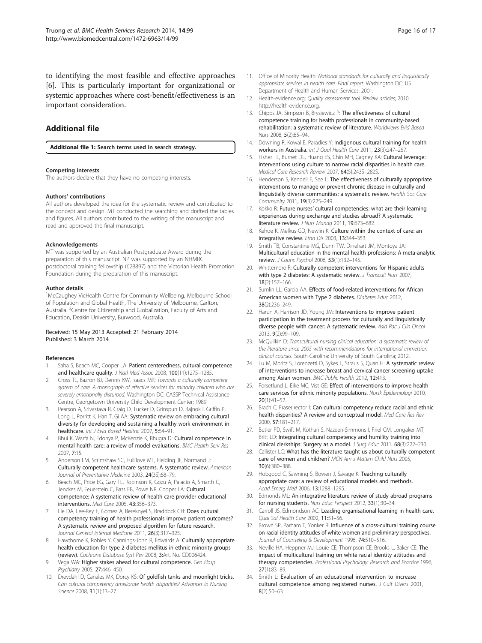<span id="page-15-0"></span>to identifying the most feasible and effective approaches [6]. This is particularly important for organizational or systemic approaches where cost-benefit/effectiveness is an important consideration.

## Additional file

[Additional file 1:](http://www.biomedcentral.com/content/supplementary/1472-6963-14-99-S1.doc) Search terms used in search strategy.

#### Competing interests

The authors declare that they have no competing interests.

#### Authors' contributions

All authors developed the idea for the systematic review and contributed to the concept and design. MT conducted the searching and drafted the tables and figures. All authors contributed to the writing of the manuscript and read and approved the final manuscript.

#### Acknowledgements

MT was supported by an Australian Postgraduate Award during the preparation of this manuscript. NP was supported by an NHMRC postdoctoral training fellowship (628897) and the Victorian Health Promotion Foundation during the preparation of this manuscript.

#### Author details

<sup>1</sup>McCaughey VicHealth Centre for Community Wellbeing, Melbourne School of Population and Global Health, The University of Melbourne, Carlton, Australia. <sup>2</sup> Centre for Citizenship and Globalization, Faculty of Arts and Education, Deakin University, Burwood, Australia.

#### Received: 15 May 2013 Accepted: 21 February 2014 Published: 3 March 2014

#### References

- 1. Saha S, Beach MC, Cooper LA: Patient centeredness, cultural competence and healthcare quality. J Natl Med Assoc 2008, 100(11):1275-1285.
- 2. Cross TL, Bazron BJ, Dennis KW, Isaacs MR: Towards a culturally competent system of care. A monograph of effective services for minority children who are severely emotionally disturbed. Washington DC: CASSP Technical Assistance Centre, Georgetown University Child Development Center; 1989.
- Pearson A, Srivastava R, Craig D, Tucker D, Grinspun D, Bajnok I, Griffin P, Long L, Porritt K, Han T, Gi AA: Systematic review on embracing cultural diversity for developing and sustaining a healthy work environment in healthcare. Int J Evid Based Healthc 2007, 5:54-91.
- 4. Bhui K, Warfa N, Edonya P, McKenzie K, Bhugra D: Cultural competence in mental health care: a review of model evaluations. BMC Health Serv Res 2007, 7:15.
- 5. Anderson LM, Scrimshaw SC, Fullilove MT, Fielding JE, Normand J: Culturally competent healthcare systems. A systematic review. American Journal of Preventative Medicine 2003, 24(3S):68–79.
- 6. Beach MC, Price EG, Gary TL, Robinson K, Gozu A, Palacio A, Smarth C, Jenckes M, Feuerstein C, Bass EB, Powe NR, Cooper LA: Cultural competence: A systematic review of health care provider educational interventions. Med Care 2005, 43:356–373.
- 7. Lie DA, Lee-Rey E, Gomez A, Bereknyei S, Braddock CH: Does cultural competency training of health professionals improve patient outcomes? A systematic review and proposed algorithm for future research. Journal General Internal Medicine 2011, 26(3):317–325.
- 8. Hawthorne K, Robles Y, Cannings-John R, Edwards A: Culturally appropriate health education for type 2 diabetes mellitus in ethnic minority groups (review). Cochrane Database Syst Rev 2008, 3:Art. No. CD006424.
- Vega WA: Higher stakes ahead for cultural competence. Gen Hosp Psychiatry 2005, 27:446–450.
- 10. Drevdahl D, Canales MK, Dorcy KS: Of goldfish tanks and moonlight tricks. Can cultural competency ameliorate health disparities? Advances in Nursing Science 2008, 31(1):13–27.
- 11. Office of Minority Health: National standards for culturally and linguistically appropriate services in health care. Final report. Washington DC: US Department of Health and Human Services; 2001.
- 12. Health-evidence.org: Quality assessment tool. Review articles: 2010. <http://health-evidence.org>.
- 13. Chipps JA, Simpson B, Brysiewicz P: The effectiveness of cultural competence training for health professionals in community-based rehabilitation: a systematic review of literature. Worldviews Evid Based Nurs 2008, 5(2):85–94.
- 14. Downing R, Kowal E, Paradies Y: Indigenous cultural training for health workers in Australia. Int J Qual Health Care 2011, 23(3):247-257.
- 15. Fisher TL, Burnet DL, Huang ES, Chin MH, Cagney KA: Cultural leverage: interventions using culture to narrow racial disparities in health care. Medical Care Research Review 2007, 64(5):243S–282S.
- 16. Henderson S, Kendell E, See L: The effectiveness of culturally appropriate interventions to manage or prevent chronic disease in culturally and linguistially diverse communities: a systematic review. Health Soc Care Community 2011, 19(3):225–249.
- 17. Kokko R: Future nurses' cultural competencies: what are their learning experiences during exchange and studies abroad? A systematic literature review. J Nurs Manag 2011, 19:673–682.
- 18. Kehoe K, Melkus GD, Newlin K: Culture within the context of care: an integrative review. Ethn Dis 2003, 13:344–353.
- 19. Smith TB, Constantine MG, Dunn TW, Dinehart JM, Montoya JA: Multicultural education in the mental health professions: A meta-analytic review. J Couns Psychol 2006, 53(1):132–145.
- 20. Whittemore R: Culturally competent interventions for Hispanic adults with type 2 diabetes: A systematic review. J Transcult Nurs 2007, 18(2):157–166.
- 21. Sumlin LL, Garcia AA: Effects of food-related interventions for African American women with Type 2 diabetes. Diabetes Educ 2012, 38(2):236–249.
- 22. Harun A, Harrison JD, Young JM: Interventions to improve patient participation in the treatment process for culturally and linguistically diverse people with cancer: A systematic review. Asia Pac J Clin Oncol 2013, 9(2):99–109.
- 23. McQuilkin D: Transcultural nursing clinical education: a systematic review of the literature since 2005 with recommendations for international immersion clinical courses. South Carolina: University of South Carolina; 2012.
- 24. Lu M, Moritz S, Lorenzetti D, Sykes L, Straus S, Quan H: A systematic review of interventions to increase breast and cervical cancer screening uptake among Asian women. BMC Public Health 2012, 12:413.
- 25. Forsetlund L, Eike MC, Vist GE: Effect of interventions to improve health care services for ethnic minority populations. Norsk Epidemiologi 2010, 20(1):41–52.
- 26. Brach C, Fraserirector I: Can cultural competency reduce racial and ethnic health disparities? A review and conceptual model. Med Care Res Rev 2000, 57:181–217.
- 27. Butler PD, Swift M, Kothari S, Nazeeri-Simmons I, Friel CM, Longaker MT, Britt LD: Integrating cultural competency and humility training into clinical clerkships: Surgery as a model. J Surg Educ 2011, 68(3):222–230.
- 28. Callister LC: What has the literature taught us about culturally competent care of women and children? MCN Am J Matern Child Nurs 2005, 30(6):380–388.
- 29. Hobgood C, Sawning S, Bowen J, Savage K: Teaching culturally appropriate care: a review of educational models and methods. Acad Emerg Med 2006, 13:1288-1295.
- 30. Edmonds ML: An integrative literature review of study abroad programs for nursing students. Nurs Educ Perspect 2012, 33(1):30–34.
- 31. Carroll JS, Edmondson AC: Leading organisational learning in health care. Qual Saf Health Care 2002, 11:51–56.
- 32. Brown SP, Parham T, Yonker R: Influence of a cross-cultural training course on racial identity attitudes of white women and preliminary perspectives. Journal of Counseling & Development 1996, 74:510-516.
- 33. Neville HA, Heppner MJ, Louie CE, Thompson CE, Brooks L, Baker CE: The impact of multicultural training on white racial identity attitudes and therapy competencies. Professional Psychology: Research and Practice 1996, 27(1):83–89.
- 34. Smith L: Evaluation of an educational intervention to increase cultural competence among registered nurses. J Cult Divers 2001, 8(2):50–63.